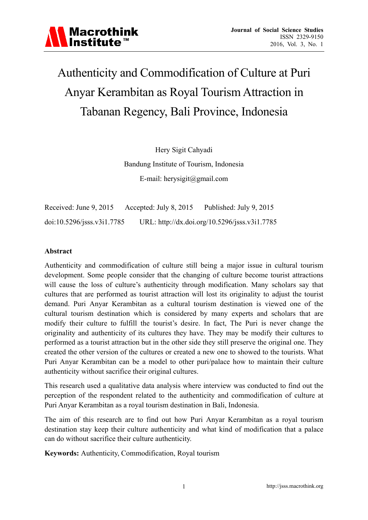

# Authenticity and Commodification of Culture at Puri Anyar Kerambitan as Royal Tourism Attraction in Tabanan Regency, Bali Province, Indonesia

Hery Sigit Cahyadi Bandung Institute of Tourism, Indonesia E-mail: herysigit@gmail.com

Received: June 9, 2015 Accepted: July 8, 2015 Published: July 9, 2015 doi:10.5296/jsss.v3i1.7785 URL: http://dx.doi.org/10.5296/jsss.v3i1.7785

#### **Abstract**

Authenticity and commodification of culture still being a major issue in cultural tourism development. Some people consider that the changing of culture become tourist attractions will cause the loss of culture's authenticity through modification. Many scholars say that cultures that are performed as tourist attraction will lost its originality to adjust the tourist demand. Puri Anyar Kerambitan as a cultural tourism destination is viewed one of the cultural tourism destination which is considered by many experts and scholars that are modify their culture to fulfill the tourist's desire. In fact, The Puri is never change the originality and authenticity of its cultures they have. They may be modify their cultures to performed as a tourist attraction but in the other side they still preserve the original one. They created the other version of the cultures or created a new one to showed to the tourists. What Puri Anyar Kerambitan can be a model to other puri/palace how to maintain their culture authenticity without sacrifice their original cultures.

This research used a qualitative data analysis where interview was conducted to find out the perception of the respondent related to the authenticity and commodification of culture at Puri Anyar Kerambitan as a royal tourism destination in Bali, Indonesia.

The aim of this research are to find out how Puri Anyar Kerambitan as a royal tourism destination stay keep their culture authenticity and what kind of modification that a palace can do without sacrifice their culture authenticity.

**Keywords:** Authenticity, Commodification, Royal tourism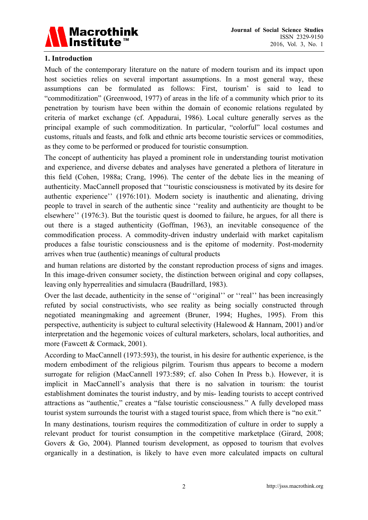

#### **1. Introduction**

Much of the contemporary literature on the nature of modern tourism and its impact upon host societies relies on several important assumptions. In a most general way, these assumptions can be formulated as follows: First, tourism' is said to lead to "commoditization" (Greenwood, 1977) of areas in the life of a community which prior to its penetration by tourism have been within the domain of economic relations regulated by criteria of market exchange (cf. Appadurai, 1986). Local culture generally serves as the principal example of such commoditization. In particular, "colorful" local costumes and customs, rituals and feasts, and folk and ethnic arts become touristic services or commodities, as they come to be performed or produced for touristic consumption.

The concept of authenticity has played a prominent role in understanding tourist motivation and experience, and diverse debates and analyses have generated a plethora of literature in this field (Cohen, 1988a; Crang, 1996). The center of the debate lies in the meaning of authenticity. MacCannell proposed that ''touristic consciousness is motivated by its desire for authentic experience'' (1976:101). Modern society is inauthentic and alienating, driving people to travel in search of the authentic since ''reality and authenticity are thought to be elsewhere'' (1976:3). But the touristic quest is doomed to failure, he argues, for all there is out there is a staged authenticity (Goffman, 1963), an inevitable consequence of the commodification process. A commodity-driven industry underlaid with market capitalism produces a false touristic consciousness and is the epitome of modernity. Post-modernity arrives when true (authentic) meanings of cultural products

and human relations are distorted by the constant reproduction process of signs and images. In this image-driven consumer society, the distinction between original and copy collapses, leaving only hyperrealities and simulacra (Baudrillard, 1983).

Over the last decade, authenticity in the sense of ''original'' or ''real'' has been increasingly refuted by social constructivists, who see reality as being socially constructed through negotiated meaningmaking and agreement (Bruner, 1994; Hughes, 1995). From this perspective, authenticity is subject to cultural selectivity (Halewood & Hannam, 2001) and/or interpretation and the hegemonic voices of cultural marketers, scholars, local authorities, and more (Fawcett & Cormack, 2001).

According to MacCannell (1973:593), the tourist, in his desire for authentic experience, is the modern embodiment of the religious pilgrim. Tourism thus appears to become a modern surrogate for religion (MacCannell 1973:589; cf. also Cohen In Press b.). However, it is implicit in MacCannell's analysis that there is no salvation in tourism: the tourist establishment dominates the tourist industry, and by mis- leading tourists to accept contrived attractions as "authentic," creates a "false touristic consciousness." A fully developed mass tourist system surrounds the tourist with a staged tourist space, from which there is "no exit."

In many destinations, tourism requires the commoditization of culture in order to supply a relevant product for tourist consumption in the competitive marketplace (Girard, 2008; Govers & Go, 2004). Planned tourism development, as opposed to tourism that evolves organically in a destination, is likely to have even more calculated impacts on cultural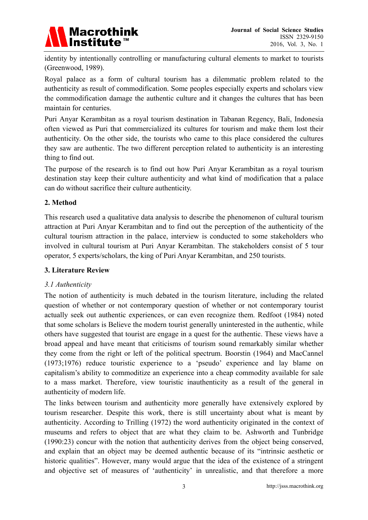

identity by intentionally controlling or manufacturing cultural elements to market to tourists (Greenwood, 1989).

Royal palace as a form of cultural tourism has a dilemmatic problem related to the authenticity as result of commodification. Some peoples especially experts and scholars view the commodification damage the authentic culture and it changes the cultures that has been maintain for centuries.

Puri Anyar Kerambitan as a royal tourism destination in Tabanan Regency, Bali, Indonesia often viewed as Puri that commercialized its cultures for tourism and make them lost their authenticity. On the other side, the tourists who came to this place considered the cultures they saw are authentic. The two different perception related to authenticity is an interesting thing to find out.

The purpose of the research is to find out how Puri Anyar Kerambitan as a royal tourism destination stay keep their culture authenticity and what kind of modification that a palace can do without sacrifice their culture authenticity.

### **2. Method**

This research used a qualitative data analysis to describe the phenomenon of cultural tourism attraction at Puri Anyar Kerambitan and to find out the perception of the authenticity of the cultural tourism attraction in the palace, interview is conducted to some stakeholders who involved in cultural tourism at Puri Anyar Kerambitan. The stakeholders consist of 5 tour operator, 5 experts/scholars, the king of Puri Anyar Kerambitan, and 250 tourists.

#### **3. Literature Review**

## *3.1 Authenticity*

The notion of authenticity is much debated in the tourism literature, including the related question of whether or not contemporary question of whether or not contemporary tourist actually seek out authentic experiences, or can even recognize them. Redfoot (1984) noted that some scholars is Believe the modern tourist generally uninterested in the authentic, while others have suggested that tourist are engage in a quest for the authentic. These views have a broad appeal and have meant that criticisms of tourism sound remarkably similar whether they come from the right or left of the political spectrum. Boorstin (1964) and MacCannel (1973;1976) reduce touristic experience to a 'pseudo' experience and lay blame on capitalism's ability to commoditize an experience into a cheap commodity available for sale to a mass market. Therefore, view touristic inauthenticity as a result of the general in authenticity of modern life.

The links between tourism and authenticity more generally have extensively explored by tourism researcher. Despite this work, there is still uncertainty about what is meant by authenticity. According to Trilling (1972) the word authenticity originated in the context of museums and refers to object that are what they claim to be. Ashworth and Tunbridge (1990:23) concur with the notion that authenticity derives from the object being conserved, and explain that an object may be deemed authentic because of its "intrinsic aesthetic or historic qualities". However, many would argue that the idea of the existence of a stringent and objective set of measures of 'authenticity' in unrealistic, and that therefore a more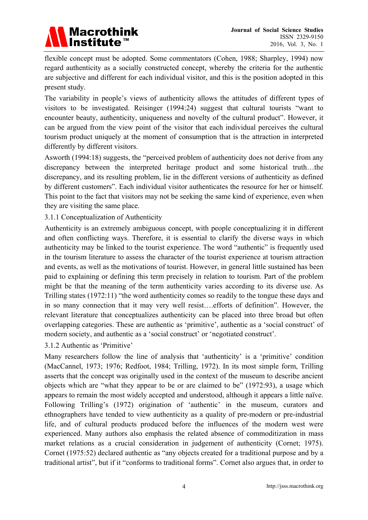

flexible concept must be adopted. Some commentators (Cohen, 1988; Sharpley, 1994) now regard authenticity as a socially constructed concept, whereby the criteria for the authentic are subjective and different for each individual visitor, and this is the position adopted in this present study.

The variability in people's views of authenticity allows the attitudes of different types of visitors to be investigated. Reisinger (1994:24) suggest that cultural tourists "want to encounter beauty, authenticity, uniqueness and novelty of the cultural product". However, it can be argued from the view point of the visitor that each individual perceives the cultural tourism product uniquely at the moment of consumption that is the attraction in interpreted differently by different visitors.

Asworth (1994:18) suggests, the "perceived problem of authenticity does not derive from any discrepancy between the interpreted heritage product and some historical truth…the discrepancy, and its resulting problem, lie in the different versions of authenticity as defined by different customers". Each individual visitor authenticates the resource for her or himself. This point to the fact that visitors may not be seeking the same kind of experience, even when they are visiting the same place.

#### 3.1.1 Conceptualization of Authenticity

Authenticity is an extremely ambiguous concept, with people conceptualizing it in different and often conflicting ways. Therefore, it is essential to clarify the diverse ways in which authenticity may be linked to the tourist experience. The word "authentic" is frequently used in the tourism literature to assess the character of the tourist experience at tourism attraction and events, as well as the motivations of tourist. However, in general little sustained has been paid to explaining or defining this term precisely in relation to tourism. Part of the problem might be that the meaning of the term authenticity varies according to its diverse use. As Trilling states (1972:11) "the word authenticity comes so readily to the tongue these days and in so many connection that it may very well resist….efforts of definition". However, the relevant literature that conceptualizes authenticity can be placed into three broad but often overlapping categories. These are authentic as 'primitive', authentic as a 'social construct' of modern society, and authentic as a 'social construct' or 'negotiated construct'.

#### 3.1.2 Authentic as 'Primitive'

Many researchers follow the line of analysis that 'authenticity' is a 'primitive' condition (MacCannel, 1973; 1976; Redfoot, 1984; Trilling, 1972). In its most simple form, Trilling asserts that the concept was originally used in the context of the museum to describe ancient objects which are "what they appear to be or are claimed to be" (1972:93), a usage which appears to remain the most widely accepted and understood, although it appears a little naïve. Following Trilling's (1972) origination of 'authentic' in the museum, curators and ethnographers have tended to view authenticity as a quality of pre-modern or pre-industrial life, and of cultural products produced before the influences of the modern west were experienced. Many authors also emphasis the related absence of commoditization in mass market relations as a crucial consideration in judgement of authenticity (Cornet; 1975). Cornet (1975:52) declared authentic as "any objects created for a traditional purpose and by a traditional artist", but if it "conforms to traditional forms". Cornet also argues that, in order to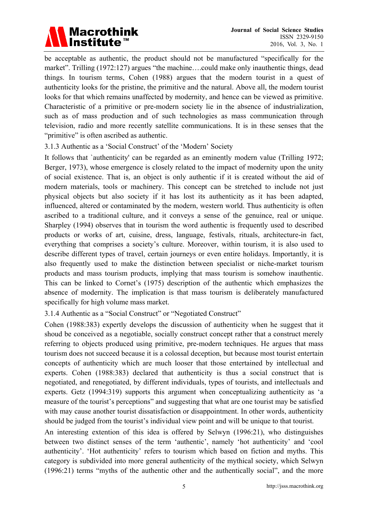

be acceptable as authentic, the product should not be manufactured "specifically for the market". Trilling (1972:127) argues "the machine….could make only inauthentic things, dead things. In tourism terms, Cohen (1988) argues that the modern tourist in a quest of authenticity looks for the pristine, the primitive and the natural. Above all, the modern tourist looks for that which remains unaffected by modernity, and hence can be viewed as primitive. Characteristic of a primitive or pre-modern society lie in the absence of industrialization, such as of mass production and of such technologies as mass communication through television, radio and more recently satellite communications. It is in these senses that the "primitive" is often ascribed as authentic.

3.1.3 Authentic as a 'Social Construct' of the 'Modern' Society

It follows that `authenticity' can be regarded as an eminently modern value (Trilling 1972; Berger, 1973), whose emergence is closely related to the impact of modernity upon the unity of social existence. That is, an object is only authentic if it is created without the aid of modern materials, tools or machinery. This concept can be stretched to include not just physical objects but also society if it has lost its authenticity as it has been adapted, influenced, altered or contaminated by the modern, western world. Thus authenticity is often ascribed to a traditional culture, and it conveys a sense of the genuince, real or unique. Sharpley (1994) observes that in tourism the word authentic is frequently used to described products or works of art, cuisine, dress, language, festivals, rituals, architecture-in fact, everything that comprises a society's culture. Moreover, within tourism, it is also used to describe different types of travel, certain journeys or even entire holidays. Importantly, it is also frequently used to make the distinction between specialist or niche-market tourism products and mass tourism products, implying that mass tourism is somehow inauthentic. This can be linked to Cornet's (1975) description of the authentic which emphasizes the absence of modernity. The implication is that mass tourism is deliberately manufactured specifically for high volume mass market.

3.1.4 Authentic as a "Social Construct" or "Negotiated Construct"

Cohen (1988:383) expertly develops the discussion of authenticity when he suggest that it shoud be conceived as a negotiable, socially construct concept rather that a construct merely referring to objects produced using primitive, pre-modern techniques. He argues that mass tourism does not succeed because it is a colossal deception, but because most tourist entertain concepts of authenticity which are much looser that those entertained by intellectual and experts. Cohen (1988:383) declared that authenticity is thus a social construct that is negotiated, and renegotiated, by different individuals, types of tourists, and intellectuals and experts. Getz (1994:319) supports this argument when conceptualizing authenticity as 'a measure of the tourist's perceptions" and suggesting that what are one tourist may be satisfied with may cause another tourist dissatisfaction or disappointment. In other words, authenticity should be judged from the tourist's individual view point and will be unique to that tourist.

An interesting extention of this idea is offered by Selwyn (1996:21), who distinguishes between two distinct senses of the term 'authentic', namely 'hot authenticity' and 'cool authenticity'. 'Hot authenticity' refers to tourism which based on fiction and myths. This category is subdivided into more general authenticity of the mythical society, which Selwyn (1996:21) terms "myths of the authentic other and the authentically social", and the more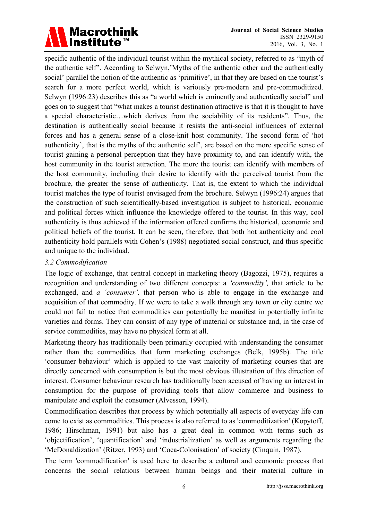# Macrothink<br>Institute™

specific authentic of the individual tourist within the mythical society, referred to as "myth of the authentic self". According to Selwyn,'Myths of the authentic other and the authentically social' parallel the notion of the authentic as 'primitive', in that they are based on the tourist's search for a more perfect world, which is variously pre-modern and pre-commoditized. Selwyn (1996:23) describes this as "a world which is eminently and authentically social" and goes on to suggest that "what makes a tourist destination attractive is that it is thought to have a special characteristic…which derives from the sociability of its residents". Thus, the destination is authentically social because it resists the anti-social influences of external forces and has a general sense of a close-knit host community. The second form of 'hot authenticity', that is the myths of the authentic self', are based on the more specific sense of tourist gaining a personal perception that they have proximity to, and can identify with, the host community in the tourist attraction. The more the tourist can identify with members of the host community, including their desire to identify with the perceived tourist from the brochure, the greater the sense of authenticity. That is, the extent to which the individual tourist matches the type of tourist envisaged from the brochure. Selwyn (1996:24) argues that the construction of such scientifically-based investigation is subject to historical, economic and political forces which influence the knowledge offered to the tourist. In this way, cool authenticity is thus achieved if the information offered confirms the historical, economic and political beliefs of the tourist. It can be seen, therefore, that both hot authenticity and cool authenticity hold parallels with Cohen's (1988) negotiated social construct, and thus specific and unique to the individual.

### *3.2 Commodification*

The logic of exchange, that central concept in marketing theory (Bagozzi, 1975), requires a recognition and understanding of two different concepts: a *'commodity',* that article to be exchanged, and *a 'consumer',* that person who is able to engage in the exchange and acquisition of that commodity. If we were to take a walk through any town or city centre we could not fail to notice that commodities can potentially be manifest in potentially infinite varieties and forms. They can consist of any type of material or substance and, in the case of service commodities, may have no physical form at all.

Marketing theory has traditionally been primarily occupied with understanding the consumer rather than the commodities that form marketing exchanges (Belk, 1995b). The title 'consumer behaviour' which is applied to the vast majority of marketing courses that are directly concerned with consumption is but the most obvious illustration of this direction of interest. Consumer behaviour research has traditionally been accused of having an interest in consumption for the purpose of providing tools that allow commerce and business to manipulate and exploit the consumer (Alvesson, 1994).

Commodification describes that process by which potentially all aspects of everyday life can come to exist as commodities. This process is also referred to as 'commoditization' (Kopytoff, 1986; Hirschman, 1991) but also has a great deal in common with terms such as 'objectification', 'quantification' and 'industrialization' as well as arguments regarding the 'McDonaldization' (Ritzer, 1993) and 'Coca-Colonisation' of society (Cinquin, 1987).

The term 'commodification' is used here to describe a cultural and economic process that concerns the social relations between human beings and their material culture in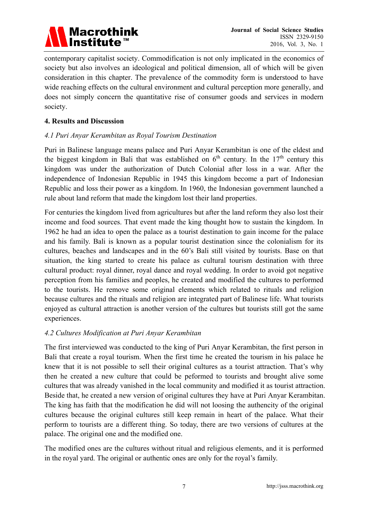

contemporary capitalist society. Commodification is not only implicated in the economics of society but also involves an ideological and political dimension, all of which will be given consideration in this chapter. The prevalence of the commodity form is understood to have wide reaching effects on the cultural environment and cultural perception more generally, and does not simply concern the quantitative rise of consumer goods and services in modern society.

#### **4. Results and Discussion**

### *4.1 Puri Anyar Kerambitan as Royal Tourism Destination*

Puri in Balinese language means palace and Puri Anyar Kerambitan is one of the eldest and the biggest kingdom in Bali that was established on  $6<sup>th</sup>$  century. In the  $17<sup>th</sup>$  century this kingdom was under the authorization of Dutch Colonial after loss in a war. After the independence of Indonesian Republic in 1945 this kingdom become a part of Indonesian Republic and loss their power as a kingdom. In 1960, the Indonesian government launched a rule about land reform that made the kingdom lost their land properties.

For centuries the kingdom lived from agricultures but after the land reform they also lost their income and food sources. That event made the king thought how to sustain the kingdom. In 1962 he had an idea to open the palace as a tourist destination to gain income for the palace and his family. Bali is known as a popular tourist destination since the colonialism for its cultures, beaches and landscapes and in the 60's Bali still visited by tourists. Base on that situation, the king started to create his palace as cultural tourism destination with three cultural product: royal dinner, royal dance and royal wedding. In order to avoid got negative perception from his families and peoples, he created and modified the cultures to performed to the tourists. He remove some original elements which related to rituals and religion because cultures and the rituals and religion are integrated part of Balinese life. What tourists enjoyed as cultural attraction is another version of the cultures but tourists still got the same experiences.

#### *4.2 Cultures Modification at Puri Anyar Kerambitan*

The first interviewed was conducted to the king of Puri Anyar Kerambitan, the first person in Bali that create a royal tourism. When the first time he created the tourism in his palace he knew that it is not possible to sell their original cultures as a tourist attraction. That's why then he created a new culture that could be peformed to tourists and brought alive some cultures that was already vanished in the local community and modified it as tourist attraction. Beside that, he created a new version of original cultures they have at Puri Anyar Kerambitan. The king has faith that the modification he did will not loosing the authencity of the original cultures because the original cultures still keep remain in heart of the palace. What their perform to tourists are a different thing. So today, there are two versions of cultures at the palace. The original one and the modified one.

The modified ones are the cultures without ritual and religious elements, and it is performed in the royal yard. The original or authentic ones are only for the royal's family.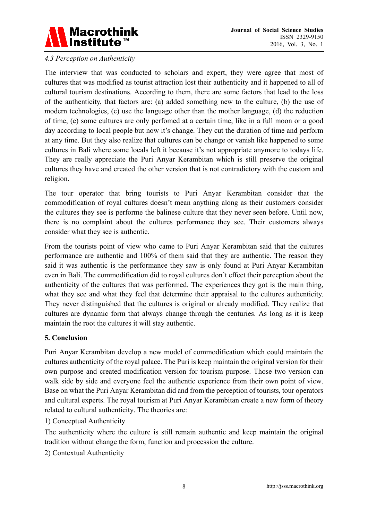

#### *4.3 Perception on Authenticity*

The interview that was conducted to scholars and expert, they were agree that most of cultures that was modified as tourist attraction lost their authenticity and it happened to all of cultural tourism destinations. According to them, there are some factors that lead to the loss of the authenticity, that factors are: (a) added something new to the culture, (b) the use of modern technologies, (c) use the language other than the mother language, (d) the reduction of time, (e) some cultures are only perfomed at a certain time, like in a full moon or a good day according to local people but now it's change. They cut the duration of time and perform at any time. But they also realize that cultures can be change or vanish like happened to some cultures in Bali where some locals left it because it's not appropriate anymore to todays life. They are really appreciate the Puri Anyar Kerambitan which is still preserve the original cultures they have and created the other version that is not contradictory with the custom and religion.

The tour operator that bring tourists to Puri Anyar Kerambitan consider that the commodification of royal cultures doesn't mean anything along as their customers consider the cultures they see is performe the balinese culture that they never seen before. Until now, there is no complaint about the cultures performance they see. Their customers always consider what they see is authentic.

From the tourists point of view who came to Puri Anyar Kerambitan said that the cultures performance are authentic and 100% of them said that they are authentic. The reason they said it was authentic is the performance they saw is only found at Puri Anyar Kerambitan even in Bali. The commodification did to royal cultures don't effect their perception about the authenticity of the cultures that was performed. The experiences they got is the main thing, what they see and what they feel that determine their appraisal to the cultures authenticity. They never distinguished that the cultures is original or already modified. They realize that cultures are dynamic form that always change through the centuries. As long as it is keep maintain the root the cultures it will stay authentic.

#### **5. Conclusion**

Puri Anyar Kerambitan develop a new model of commodification which could maintain the cultures authenticity of the royal palace. The Puri is keep maintain the original version for their own purpose and created modification version for tourism purpose. Those two version can walk side by side and everyone feel the authentic experience from their own point of view. Base on what the Puri Anyar Kerambitan did and from the perception of tourists, tour operators and cultural experts. The royal tourism at Puri Anyar Kerambitan create a new form of theory related to cultural authenticity. The theories are:

#### 1) Conceptual Authenticity

The authenticity where the culture is still remain authentic and keep maintain the original tradition without change the form, function and procession the culture.

2) Contextual Authenticity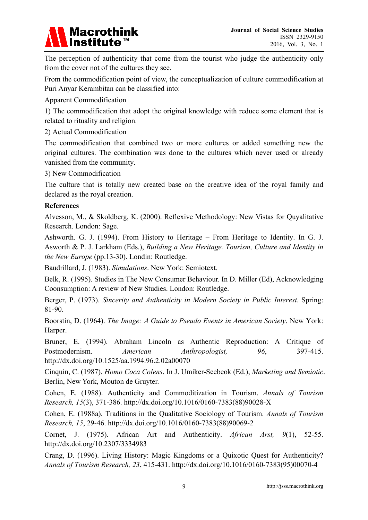# Macrothink<br>|Institute™

The perception of authenticity that come from the tourist who judge the authenticity only from the cover not of the cultures they see.

From the commodification point of view, the conceptualization of culture commodification at Puri Anyar Kerambitan can be classified into:

Apparent Commodification

1) The commodification that adopt the original knowledge with reduce some element that is related to rituality and religion.

2) Actual Commodification

The commodification that combined two or more cultures or added something new the original cultures. The combination was done to the cultures which never used or already vanished from the community.

3) New Commodification

The culture that is totally new created base on the creative idea of the royal family and declared as the royal creation.

#### **References**

Alvesson, M., & Skoldberg, K. (2000). Reflexive Methodology: New Vistas for Quyalitative Research. London: Sage.

Ashworth. G. J. (1994). From History to Heritage – From Heritage to Identity. In G. J. Asworth & P. J. Larkham (Eds.), *Building a New Heritage. Tourism, Culture and Identity in the New Europe* (pp.13-30). Londin: Routledge.

Baudrillard, J. (1983). *Simulations*. New York: Semiotext.

Belk, R. (1995). Studies in The New Consumer Behaviour. In D. Miller (Ed), Acknowledging Coonsumption: A review of New Studies. London: Routledge.

Berger, P. (1973). *Sincerity and Authenticity in Modern Society in Public Interest*. Spring: 81-90.

Boorstin, D. (1964). *The Image: A Guide to Pseudo Events in American Society*. New York: Harper.

Bruner, E. (1994). Abraham Lincoln as Authentic Reproduction: A Critique of Postmodernism. *American Anthropologist, 96*, 397-415. http://dx.doi.org/10.1525/aa.1994.96.2.02a00070

Cinquin, C. (1987). *Homo Coca Colens*. In J. Umiker-Seebeok (Ed.), *Marketing and Semiotic*. Berlin, New York, Mouton de Gruyter.

Cohen, E. (1988). Authenticity and Commoditization in Tourism. *Annals of Tourism Research, 15*(3), 371-386. http://dx.doi.org/10.1016/0160-7383(88)90028-X

Cohen, E. (1988a). Traditions in the Qualitative Sociology of Tourism. *Annals of Tourism Research, 15*, 29-46. http://dx.doi.org/10.1016/0160-7383(88)90069-2

Cornet, J. (1975). African Art and Authenticity. *African Arst, 9*(1), 52-55. http://dx.doi.org/10.2307/3334983

Crang, D. (1996). Living History: Magic Kingdoms or a Quixotic Quest for Authenticity? *Annals of Tourism Research, 23*, 415-431. http://dx.doi.org/10.1016/0160-7383(95)00070-4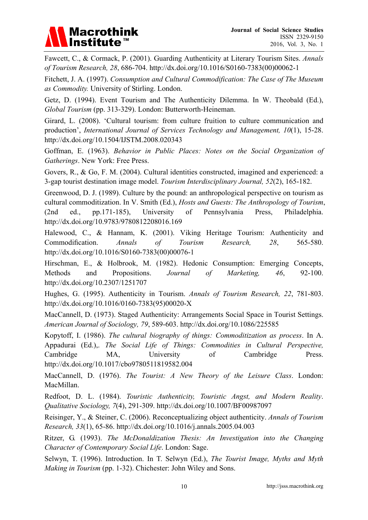

Fawcett, C., & Cormack, P. (2001). Guarding Authenticity at Literary Tourism Sites. *Annals of Tourism Research, 28*, 686-704. http://dx.doi.org/10.1016/S0160-7383(00)00062-1

Fitchett, J. A. (1997). *Consumption and Cultural Commodification: The Case of The Museum as Commodity.* University of Stirling. London.

Getz, D. (1994). Event Tourism and The Authenticity Dilemma. In W. Theobald (Ed.), *Global Tourism* (pp. 313-329). London: Butterworth-Heineman.

Girard, L. (2008). 'Cultural tourism: from culture fruition to culture communication and production', *International Journal of Services Technology and Management, 10*(1), 15-28. http://dx.doi.org/10.1504/IJSTM.2008.020343

Goffman, E. (1963). *Behavior in Public Places: Notes on the Social Organization of Gatherings*. New York: Free Press.

Govers, R., & Go, F. M. (2004). Cultural identities constructed, imagined and experienced: a 3-gap tourist destination image model. *Tourism Interdisciplinary Journal, 52*(2), 165-182.

Greenwood, D. J. (1989). Culture by the pound: an anthropological perspective on tourism as cultural commoditization. In V. Smith (Ed.), *Hosts and Guests: The Anthropology of Tourism*, (2nd ed., pp.171-185), University of Pennsylvania Press, Philadelphia. http://dx.doi.org/10.9783/9780812208016.169

Halewood, C., & Hannam, K. (2001). Viking Heritage Tourism: Authenticity and Commodification. *Annals of Tourism Research, 28*, 565-580. http://dx.doi.org/10.1016/S0160-7383(00)00076-1

Hirschman, E., & Holbrook, M. (1982). Hedonic Consumption: Emerging Concepts, Methods and Propositions. *Journal of Marketing, 46*, 92-100. http://dx.doi.org/10.2307/1251707

Hughes, G. (1995). Authenticity in Tourism. *Annals of Tourism Research, 22*, 781-803. http://dx.doi.org/10.1016/0160-7383(95)00020-X

MacCannell, D. (1973). Staged Authenticity: Arrangements Social Space in Tourist Settings. *American Journal of Sociology, 79*, 589-603. http://dx.doi.org/10.1086/225585

Kopytoff, I. (1986). *The cultural biography of things: Commoditization as process*. In A. Appadurai (Ed.),. *The Social Life of Things: Commodities in Cultural Perspective,*  Cambridge MA, University of Cambridge Press. http://dx.doi.org/10.1017/cbo9780511819582.004

MacCannell, D. (1976). *The Tourist: A New Theory of the Leisure Class*. London: MacMillan.

Redfoot, D. L. (1984). *Touristic Authenticity, Touristic Angst, and Modern Reality*. *Qualitative Sociology, 7*(4), 291-309. http://dx.doi.org/10.1007/BF00987097

Reisinger, Y., & Steiner, C. (2006). Reconceptualizing object authenticity. *Annals of Tourism Research, 33*(1), 65-86. http://dx.doi.org/10.1016/j.annals.2005.04.003

Ritzer, G. (1993). *The McDonaldization Thesis: An Investigation into the Changing Character of Contemporary Social Life*. London: Sage.

Selwyn, T. (1996). Introduction. In T. Selwyn (Ed.), *The Tourist Image, Myths and Myth Making in Tourism* (pp. 1-32). Chichester: John Wiley and Sons.